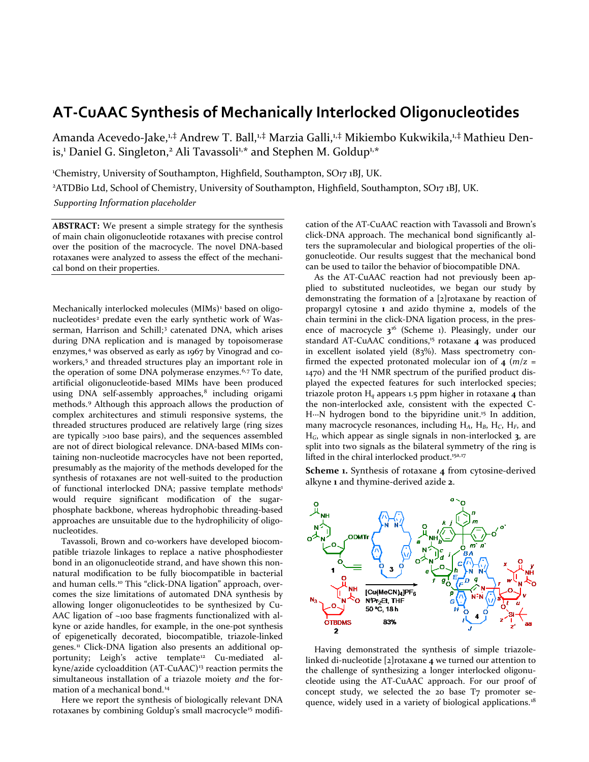# **AT-CuAAC Synthesis of Mechanically Interlocked Oligonucleotides**

Amanda Acevedo-Jake,<sup>1,‡</sup> Andrew T. Ball,<sup>1,‡</sup> Marzia Galli,<sup>1,‡</sup> Mikiembo Kukwikila,<sup>1,‡</sup> Mathieu Denis,<sup>1</sup> Daniel G. Singleton,<sup>2</sup> Ali Tavassoli<sup>1,\*</sup> and Stephen M. Goldup<sup>1,\*</sup>

1 Chemistry, University of Southampton, Highfield, Southampton, SO17 1BJ, UK.

<sup>2</sup>ATDBio Ltd, School of Chemistry, University of Southampton, Highfield, Southampton, SO17 1BJ, UK. *Supporting Information placeholder*

**ABSTRACT:** We present a simple strategy for the synthesis of main chain oligonucleotide rotaxanes with precise control over the position of the macrocycle. The novel DNA-based rotaxanes were analyzed to assess the effect of the mechanical bond on their properties.

Mechanically interlocked molecules (MIMs)<sup>[1](#page-2-0)</sup> based on oligo-nucleotides<sup>[2](#page-2-1)</sup> predate even the early synthetic work of Was-serman, Harrison and Schill;<sup>[3](#page-3-0)</sup> catenated DNA, which arises during DNA replication and is managed by topoisomerase enzymes,<sup>[4](#page-3-1)</sup> was observed as early as 1967 by Vinograd and coworkers, [5](#page-3-2) and threaded structures play an important role in the operation of some DNA polymerase enzymes. [6,](#page-3-3)[7](#page-3-4) To date, artificial oligonucleotide-based MIMs have been produced using DNA self-assembly approaches, $8$  including origami methods. [9](#page-3-6) Although this approach allows the production of complex architectures and stimuli responsive systems, the threaded structures produced are relatively large (ring sizes are typically >100 base pairs), and the sequences assembled are not of direct biological relevance. DNA-based MIMs containing non-nucleotide macrocycles have not been reported, presumably as the majority of the methods developed for the synthesis of rotaxanes are not well-suited to the production of functional interlocked DNA; passive template methods<sup>1</sup> would require significant modification of the sugarphosphate backbone, whereas hydrophobic threading-based approaches are unsuitable due to the hydrophilicity of oligonucleotides.

Tavassoli, Brown and co-workers have developed biocompatible triazole linkages to replace a native phosphodiester bond in an oligonucleotide strand, and have shown this nonnatural modification to be fully biocompatible in bacterial and human cells.<sup>[10](#page-4-0)</sup> This "click-DNA ligation" approach, overcomes the size limitations of automated DNA synthesis by allowing longer oligonucleotides to be synthesized by Cu-AAC ligation of ~100 base fragments functionalized with alkyne or azide handles, for example, in the one-pot synthesis of epigenetically decorated, biocompatible, triazole-linked genes.<sup>[11](#page-4-1)</sup> Click-DNA ligation also presents an additional op-portunity; Leigh's active template<sup>[12](#page-4-2)</sup> Cu-mediated al-kyne/azide cycloaddition (AT-CuAAC)<sup>[13](#page-4-3)</sup> reaction permits the simultaneous installation of a triazole moiety *and* the formation of a mechanical bond. [14](#page-4-4)

Here we report the synthesis of biologically relevant DNA rotaxanes by combining Goldup's small macrocycle<sup>[15](#page-4-5)</sup> modification of the AT-CuAAC reaction with Tavassoli and Brown's click-DNA approach. The mechanical bond significantly alters the supramolecular and biological properties of the oligonucleotide. Our results suggest that the mechanical bond can be used to tailor the behavior of biocompatible DNA.

<span id="page-0-0"></span>As the AT-CuAAC reaction had not previously been applied to substituted nucleotides, we began our study by demonstrating the formation of a [2]rotaxane by reaction of propargyl cytosine **1** and azido thymine **2**, models of the chain termini in the click-DNA ligation process, in the presence of macrocycle **3**[16](#page-4-6) (Scheme 1). Pleasingly, under our standard AT-CuAAC conditions, [15](#page-0-1) rotaxane **4** was produced in excellent isolated yield (83%). Mass spectrometry confirmed the expected protonated molecular ion of  $\bf{4}$  ( $m/z =$ 1470) and the <sup>1</sup> H NMR spectrum of the purified product displayed the expected features for such interlocked species; triazole proton H*<sup>q</sup>* appears 1.5 ppm higher in rotaxane **4** than the non-interlocked axle, consistent with the expected C-H....N hydrogen bond to the bipyridine unit.<sup>15</sup> In addition, many macrocycle resonances, including H*A*, H*B*, H*C*, H*F*, and H*G*, which appear as single signals in non-interlocked **3**, are split into two signals as the bilateral symmetry of the ring is lifted in the chiral interlocked product.<sup>15a,[17](#page-5-0)</sup>

**Scheme 1.** Synthesis of rotaxane **4** from cytosine-derived alkyne **1** and thymine-derived azide **2**.



<span id="page-0-1"></span>Having demonstrated the synthesis of simple triazolelinked di-nucleotide [2]rotaxane **4** we turned our attention to the challenge of synthesizing a longer interlocked oligonucleotide using the AT-CuAAC approach. For our proof of concept study, we selected the 20 base T7 promoter se-quence, widely used in a variety of biological applications.<sup>[18](#page-5-1)</sup>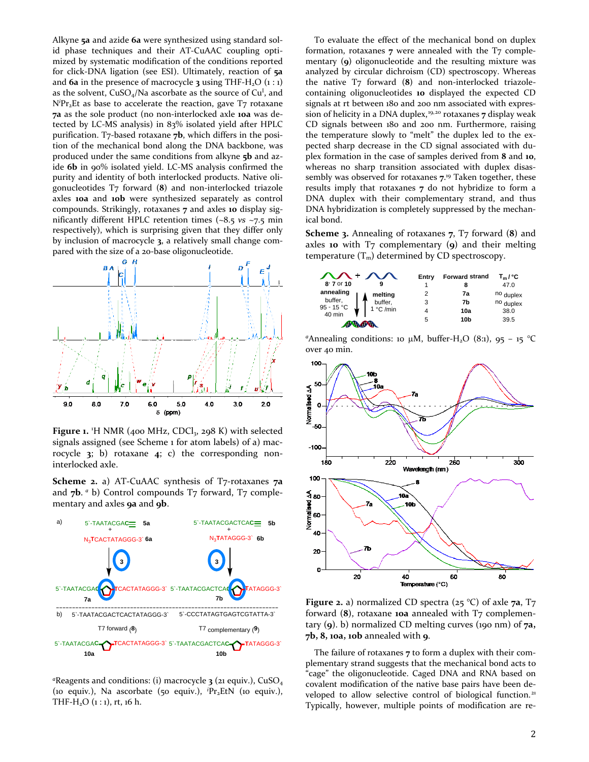Alkyne **5a** and azide **6a** were synthesized using standard solid phase techniques and their AT-CuAAC coupling optimized by systematic modification of the conditions reported for click-DNA ligation (see ESI). Ultimately, reaction of **5a** and  $6a$  in the presence of macrocycle  $3$  using THF-H<sub>2</sub>O  $(i : 1)$ as the solvent,  $CuSO_4/Na$  ascorbate as the source of  $Cu<sup>I</sup>$ , and N<sup>*i*</sup>Pr<sub>2</sub>Et as base to accelerate the reaction, gave T7 rotaxane **7a** as the sole product (no non-interlocked axle **10a** was detected by LC-MS analysis) in 83% isolated yield after HPLC purification. T7-based rotaxane **7b**, which differs in the position of the mechanical bond along the DNA backbone, was produced under the same conditions from alkyne **5b** and azide **6b** in 90% isolated yield. LC-MS analysis confirmed the purity and identity of both interlocked products. Native oligonucleotides T7 forward (**8**) and non-interlocked triazole axles **10a** and **10b** were synthesized separately as control compounds. Strikingly, rotaxanes **7** and axles **10** display significantly different HPLC retention times (~8.5 *vs* ~7.5 min respectively), which is surprising given that they differ only by inclusion of macrocycle **3**, a relatively small change compared with the size of a 20-base oligonucleotide.



Figure 1. <sup>1</sup>H NMR (400 MHz, CDCl<sub>3</sub>, 298 K) with selected signals assigned (see Scheme 1 for atom labels) of a) macrocycle **3**; b) rotaxane **4**; c) the corresponding noninterlocked axle.

**Scheme 2.** a) AT-CuAAC synthesis of T7-rotaxanes **7a** and **7b**. *a* b) Control compounds T7 forward, T7 complementary and axles **9a** and **9b**.



*<sup>a</sup>*Reagents and conditions: (i) macrocycle **3** (21 equiv.), CuSO4 (10 equiv.), Na ascorbate (50 equiv.), <sup>*i*</sup>Pr<sub>2</sub>EtN (10 equiv.), THF-H<sub>2</sub>O  $(1:1)$ , rt, 16 h.

To evaluate the effect of the mechanical bond on duplex formation, rotaxanes **7** were annealed with the T7 complementary (**9**) oligonucleotide and the resulting mixture was analyzed by circular dichroism (CD) spectroscopy. Whereas the native T7 forward (**8**) and non-interlocked triazolecontaining oligonucleotides **10** displayed the expected CD signals at rt between 180 and 200 nm associated with expres-sion of helicity in a DNA duplex,<sup>[19](#page-5-2),[20](#page-5-3)</sup> rotaxanes **7** display weak CD signals between 180 and 200 nm. Furthermore, raising the temperature slowly to "melt" the duplex led to the expected sharp decrease in the CD signal associated with duplex formation in the case of samples derived from **8** and **10**, whereas no sharp transition associated with duplex disassembly was observed for rotaxanes **7**. <sup>19</sup> Taken together, these results imply that rotaxanes **7** do not hybridize to form a DNA duplex with their complementary strand, and thus DNA hybridization is completely suppressed by the mechanical bond.

**Scheme 3.** Annealing of rotaxanes **7**, T7 forward (**8**) and axles **10** with T7 complementary (**9**) and their melting temperature  $(T_m)$  determined by CD spectroscopy.



<sup>*a*</sup>Annealing conditions: 10 µM, buffer-H<sub>2</sub>O (8:1), 95 - 15 °C over 40 min.



**Figure 2.** a) normalized CD spectra (25 °C) of axle **7a**, T7 forward (8), rotaxane **10a** annealed with T7 complementary (**9**). b) normalized CD melting curves (190 nm) of **7a, 7b, 8, 10a, 10b** annealed with **9**.

<span id="page-1-0"></span>The failure of rotaxanes **7** to form a duplex with their complementary strand suggests that the mechanical bond acts to "cage" the oligonucleotide. Caged DNA and RNA based on covalent modification of the native base pairs have been de-veloped to allow selective control of biological function.<sup>[21](#page-5-4)</sup> Typically, however, multiple points of modification are re-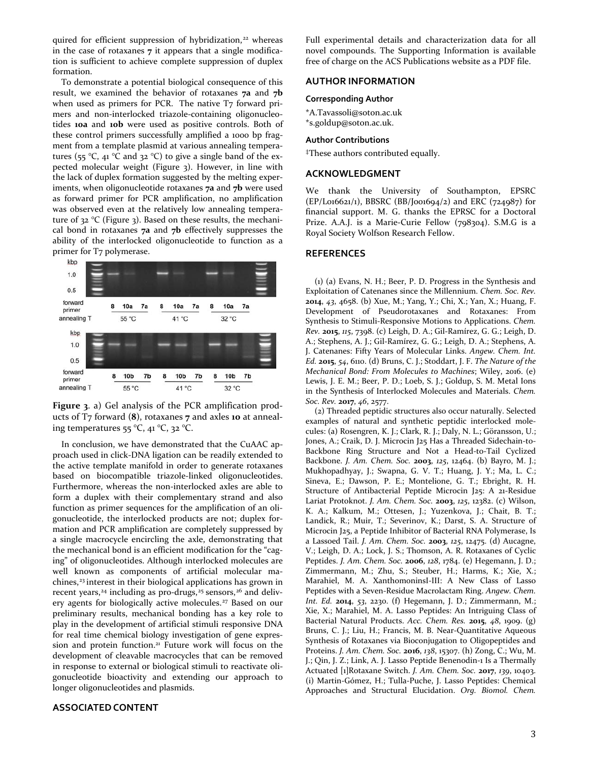quired for efficient suppression of hybridization,<sup>[22](#page-5-5)</sup> whereas in the case of rotaxanes **7** it appears that a single modification is sufficient to achieve complete suppression of duplex formation.

To demonstrate a potential biological consequence of this result, we examined the behavior of rotaxanes **7a** and **7b** when used as primers for PCR. The native  $T<sub>7</sub>$  forward primers and non-interlocked triazole-containing oligonucleotides **10a** and **10b** were used as positive controls. Both of these control primers successfully amplified a 1000 bp fragment from a template plasmid at various annealing temperatures (55 °C, 41 °C and 32 °C) to give a single band of the expected molecular weight (Figure 3). However, in line with the lack of duplex formation suggested by the melting experiments, when oligonucleotide rotaxanes **7a** and **7b** were used as forward primer for PCR amplification, no amplification was observed even at the relatively low annealing temperature of 32 °C (Figure 3). Based on these results, the mechanical bond in rotaxanes **7a** and **7b** effectively suppresses the ability of the interlocked oligonucleotide to function as a primer for T7 polymerase.

<span id="page-2-0"></span>

<span id="page-2-1"></span>

In conclusion, we have demonstrated that the CuAAC approach used in click-DNA ligation can be readily extended to the active template manifold in order to generate rotaxanes based on biocompatible triazole-linked oligonucleotides. Furthermore, whereas the non-interlocked axles are able to form a duplex with their complementary strand and also function as primer sequences for the amplification of an oligonucleotide, the interlocked products are not; duplex formation and PCR amplification are completely suppressed by a single macrocycle encircling the axle, demonstrating that the mechanical bond is an efficient modification for the "caging" of oligonucleotides. Although interlocked molecules are well known as components of artificial molecular ma-chines,<sup>[23](#page-5-6)</sup> interest in their biological applications has grown in recent years,<sup>[24](#page-5-7)</sup> including as pro-drugs,<sup>[25](#page-5-0)</sup> sensors,<sup>[26](#page-5-8)</sup> and delivery agents for biologically active molecules. [27](#page-5-9) Based on our preliminary results, mechanical bonding has a key role to play in the development of artificial stimuli responsive DNA for real time chemical biology investigation of gene expression and protein function.<sup>21</sup> Future work will focus on the development of cleavable macrocycles that can be removed in response to external or biological stimuli to reactivate oligonucleotide bioactivity and extending our approach to longer oligonucleotides and plasmids.

#### **ASSOCIATED CONTENT**

Full experimental details and characterization data for all novel compounds. The Supporting Information is available free of charge on the ACS Publications website as a PDF file.

### **AUTHOR INFORMATION**

#### **Corresponding Author**

\*A.Tavassoli@soton.ac.uk \*s.goldup@soton.ac.uk.

#### **Author Contributions**

‡These authors contributed equally.

# **ACKNOWLEDGMENT**

We thank the University of Southampton, EPSRC (EP/L016621/1), BBSRC (BB/J001694/2) and ERC (724987) for financial support. M. G. thanks the EPRSC for a Doctoral Prize. A.A.J. is a Marie-Curie Fellow (798304). S.M.G is a Royal Society Wolfson Research Fellow.

## **REFERENCES**

(1) (a) Evans, N. H.; Beer, P. D. Progress in the Synthesis and Exploitation of Catenanes since the Millennium. *Chem. Soc. Rev.* **2014**, *43*, 4658. (b) Xue, M.; Yang, Y.; Chi, X.; Yan, X.; Huang, F. Development of Pseudorotaxanes and Rotaxanes: From Synthesis to Stimuli-Responsive Motions to Applications. *Chem. Rev.* **2015**, *115*, 7398. (c) Leigh, D. A.; Gil-Ramírez, G. G.; Leigh, D. A.; Stephens, A. J.; Gil-Ramírez, G. G.; Leigh, D. A.; Stephens, A. J. Catenanes: Fifty Years of Molecular Links. *Angew. Chem. Int. Ed.* **2015**, *54*, 6110. (d) Bruns, C. J.; Stoddart, J. F. *The Nature of the Mechanical Bond: From Molecules to Machines*; Wiley, 2016. (e) Lewis, J. E. M.; Beer, P. D.; Loeb, S. J.; Goldup, S. M. Metal Ions in the Synthesis of Interlocked Molecules and Materials. *Chem. Soc. Rev.* **2017**, *46*, 2577.

(2) Threaded peptidic structures also occur naturally. Selected examples of natural and synthetic peptidic interlocked molecules: (a) Rosengren, K. J.; Clark, R. J.; Daly, N. L.; Göransson, U.; Jones, A.; Craik, D. J. Microcin J25 Has a Threaded Sidechain-to-Backbone Ring Structure and Not a Head-to-Tail Cyclized Backbone. *J. Am. Chem. Soc.* **2003**, *125*, 12464. (b) Bayro, M. J.; Mukhopadhyay, J.; Swapna, G. V. T.; Huang, J. Y.; Ma, L. C.; Sineva, E.; Dawson, P. E.; Montelione, G. T.; Ebright, R. H. Structure of Antibacterial Peptide Microcin J25: A 21-Residue Lariat Protoknot. *J. Am. Chem. Soc.* **2003**, *125*, 12382. (c) Wilson, K. A.; Kalkum, M.; Ottesen, J.; Yuzenkova, J.; Chait, B. T.; Landick, R.; Muir, T.; Severinov, K.; Darst, S. A. Structure of Microcin J25, a Peptide Inhibitor of Bacterial RNA Polymerase, Is a Lassoed Tail. *J. Am. Chem. Soc.* **2003**, *125*, 12475. (d) Aucagne, V.; Leigh, D. A.; Lock, J. S.; Thomson, A. R. Rotaxanes of Cyclic Peptides. *J. Am. Chem. Soc.* **2006**, *128*, 1784. (e) Hegemann, J. D.; Zimmermann, M.; Zhu, S.; Steuber, H.; Harms, K.; Xie, X.; Marahiel, M. A. XanthomoninsI-III: A New Class of Lasso Peptides with a Seven-Residue Macrolactam Ring. *Angew. Chem. Int. Ed.* **2014**, *53*, 2230. (f) Hegemann, J. D.; Zimmermann, M.; Xie, X.; Marahiel, M. A. Lasso Peptides: An Intriguing Class of Bacterial Natural Products. *Acc. Chem. Res.* **2015**, *48*, 1909. (g) Bruns, C. J.; Liu, H.; Francis, M. B. Near-Quantitative Aqueous Synthesis of Rotaxanes via Bioconjugation to Oligopeptides and Proteins. *J. Am. Chem. Soc.* **2016**, *138*, 15307. (h) Zong, C.; Wu, M. J.; Qin, J. Z.; Link, A. J. Lasso Peptide Benenodin-1 Is a Thermally Actuated [1]Rotaxane Switch. *J. Am. Chem. Soc.* **2017**, *139*, 10403. (i) Martin-Gómez, H.; Tulla-Puche, J. Lasso Peptides: Chemical Approaches and Structural Elucidation. *Org. Biomol. Chem.*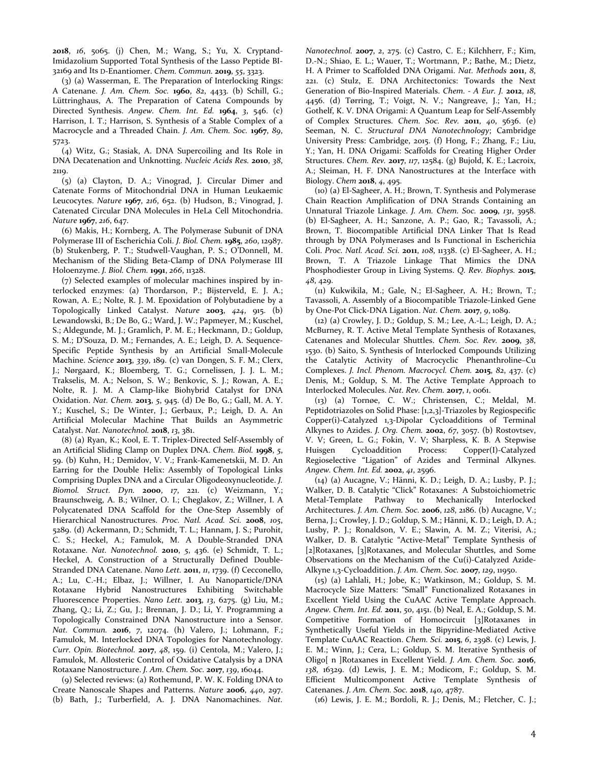**2018**, *16*, 5065. (j) Chen, M.; Wang, S.; Yu, X. Cryptand-Imidazolium Supported Total Synthesis of the Lasso Peptide BI-32169 and Its D-Enantiomer. *Chem. Commun.* **2019**, *55*, 3323.

<span id="page-3-0"></span>(3) (a) Wasserman, E. The Preparation of Interlocking Rings: A Catenane. *J. Am. Chem. Soc.* **1960**, *82*, 4433. (b) Schill, G.; Lüttringhaus, A. The Preparation of Catena Compounds by Directed Synthesis. *Angew. Chem. Int. Ed.* **1964**, *3*, 546. (c) Harrison, I. T.; Harrison, S. Synthesis of a Stable Complex of a Macrocycle and a Threaded Chain. *J. Am. Chem. Soc.* **1967**, *89*, 5723.

<span id="page-3-1"></span>(4) Witz, G.; Stasiak, A. DNA Supercoiling and Its Role in DNA Decatenation and Unknotting. *Nucleic Acids Res.* **2010**, *38*, 2119.

<span id="page-3-2"></span>(5) (a) Clayton, D. A.; Vinograd, J. Circular Dimer and Catenate Forms of Mitochondrial DNA in Human Leukaemic Leucocytes. *Nature* **1967**, *216*, 652. (b) Hudson, B.; Vinograd, J. Catenated Circular DNA Molecules in HeLa Cell Mitochondria. *Nature* **1967**, *216*, 647.

<span id="page-3-3"></span>(6) Makis, H.; Kornberg, A. The Polymerase Subunit of DNA Polymerase III of Escherichia Coli. *J. Biol. Chem.* **1985**, *260*, 12987. (b) Stukenberg, P. T.; Studwell-Vaughan, P. S.; O'Donnell, M. Mechanism of the Sliding Beta-Clamp of DNA Polymerase III Holoenzyme. *J. Biol. Chem.* **1991**, *266*, 11328.

<span id="page-3-4"></span>(7) Selected examples of molecular machines inspired by interlocked enzymes: (a) Thordarson, P.; Bijsterveld, E. J. A.; Rowan, A. E.; Nolte, R. J. M. Epoxidation of Polybutadiene by a Topologically Linked Catalyst. *Nature* **2003**, *424*, 915. (b) Lewandowski, B.; De Bo, G.; Ward, J. W.; Papmeyer, M.; Kuschel, S.; Aldegunde, M. J.; Gramlich, P. M. E.; Heckmann, D.; Goldup, S. M.; D'Souza, D. M.; Fernandes, A. E.; Leigh, D. A. Sequence-Specific Peptide Synthesis by an Artificial Small-Molecule Machine. *Science* **2013**, *339*, 189. (c) van Dongen, S. F. M.; Clerx, J.; Nørgaard, K.; Bloemberg, T. G.; Cornelissen, J. J. L. M.; Trakselis, M. A.; Nelson, S. W.; Benkovic, S. J.; Rowan, A. E.; Nolte, R. J. M. A Clamp-like Biohybrid Catalyst for DNA Oxidation. *Nat. Chem.* **2013**, *5*, 945. (d) De Bo, G.; Gall, M. A. Y. Y.; Kuschel, S.; De Winter, J.; Gerbaux, P.; Leigh, D. A. An Artificial Molecular Machine That Builds an Asymmetric Catalyst. *Nat. Nanotechnol.* **2018**, *13*, 381.

<span id="page-3-5"></span>(8) (a) Ryan, K.; Kool, E. T. Triplex-Directed Self-Assembly of an Artificial Sliding Clamp on Duplex DNA. *Chem. Biol.* **1998**, *5*, 59. (b) Kuhn, H.; Demidov, V. V.; Frank-Kamenetskii, M. D. An Earring for the Double Helix: Assembly of Topological Links Comprising Duplex DNA and a Circular Oligodeoxynucleotide. *J. Biomol. Struct. Dyn.* **2000**, *17*, 221. (c) Weizmann, Y.; Braunschweig, A. B.; Wilner, O. I.; Cheglakov, Z.; Willner, I. A Polycatenated DNA Scaffold for the One-Step Assembly of Hierarchical Nanostructures. *Proc. Natl. Acad. Sci.* **2008**, *105*, 5289. (d) Ackermann, D.; Schmidt, T. L.; Hannam, J. S.; Purohit, C. S.; Heckel, A.; Famulok, M. A Double-Stranded DNA Rotaxane. *Nat. Nanotechnol.* **2010**, *5*, 436. (e) Schmidt, T. L.; Heckel, A. Construction of a Structurally Defined Double-Stranded DNA Catenane. *Nano Lett.* **2011**, *11*, 1739. (f) Cecconello, A.; Lu, C.-H.; Elbaz, J.; Willner, I. Au Nanoparticle/DNA Rotaxane Hybrid Nanostructures Exhibiting Switchable Fluorescence Properties. *Nano Lett.* **2013**, *13*, 6275. (g) Liu, M.; Zhang, Q.; Li, Z.; Gu, J.; Brennan, J. D.; Li, Y. Programming a Topologically Constrained DNA Nanostructure into a Sensor. *Nat. Commun.* **2016**, *7*, 12074. (h) Valero, J.; Lohmann, F.; Famulok, M. Interlocked DNA Topologies for Nanotechnology. *Curr. Opin. Biotechnol.* **2017**, *48*, 159. (i) Centola, M.; Valero, J.; Famulok, M. Allosteric Control of Oxidative Catalysis by a DNA Rotaxane Nanostructure. *J. Am. Chem. Soc.* **2017**, *139*, 16044.

<span id="page-3-6"></span>(9) Selected reviews: (a) Rothemund, P. W. K. Folding DNA to Create Nanoscale Shapes and Patterns. *Nature* **2006**, *440*, 297. (b) Bath, J.; Turberfield, A. J. DNA Nanomachines. *Nat.*  *Nanotechnol.* **2007**, *2*, 275. (c) Castro, C. E.; Kilchherr, F.; Kim, D.-N.; Shiao, E. L.; Wauer, T.; Wortmann, P.; Bathe, M.; Dietz, H. A Primer to Scaffolded DNA Origami. *Nat. Methods* **2011**, *8*, 221. (c) Stulz, E. DNA Architectonics: Towards the Next Generation of Bio-Inspired Materials. *Chem. - A Eur. J.* **2012**, *18*, 4456. (d) Tørring, T.; Voigt, N. V.; Nangreave, J.; Yan, H.; Gothelf, K. V. DNA Origami: A Quantum Leap for Self-Assembly of Complex Structures. *Chem. Soc. Rev.* **2011**, *40*, 5636. (e) Seeman, N. C. *Structural DNA Nanotechnology*; Cambridge University Press: Cambridge, 2015. (f) Hong, F.; Zhang, F.; Liu, Y.; Yan, H. DNA Origami: Scaffolds for Creating Higher Order Structures. *Chem. Rev.* **2017**, *117*, 12584. (g) Bujold, K. E.; Lacroix, A.; Sleiman, H. F. DNA Nanostructures at the Interface with Biology. *Chem* **2018**, *4*, 495.

(10) (a) El-Sagheer, A. H.; Brown, T. Synthesis and Polymerase Chain Reaction Amplification of DNA Strands Containing an Unnatural Triazole Linkage. *J. Am. Chem. Soc.* **2009**, *131*, 3958. (b) El-Sagheer, A. H.; Sanzone, A. P.; Gao, R.; Tavassoli, A.; Brown, T. Biocompatible Artificial DNA Linker That Is Read through by DNA Polymerases and Is Functional in Escherichia Coli. *Proc. Natl. Acad. Sci.* **2011**, *108*, 11338. (c) El-Sagheer, A. H.; Brown, T. A Triazole Linkage That Mimics the DNA Phosphodiester Group in Living Systems. *Q. Rev. Biophys.* **2015**, *48*, 429.

(11) Kukwikila, M.; Gale, N.; El-Sagheer, A. H.; Brown, T.; Tavassoli, A. Assembly of a Biocompatible Triazole-Linked Gene by One-Pot Click-DNA Ligation. *Nat. Chem.* **2017**, *9*, 1089.

(12) (a) Crowley, J. D.; Goldup, S. M.; Lee, A.-L.; Leigh, D. A.; McBurney, R. T. Active Metal Template Synthesis of Rotaxanes, Catenanes and Molecular Shuttles. *Chem. Soc. Rev.* **2009**, *38*, 1530. (b) Saito, S. Synthesis of Interlocked Compounds Utilizing the Catalytic Activity of Macrocyclic Phenanthroline–Cu Complexes. *J. Incl. Phenom. Macrocycl. Chem.* **2015**, *82*, 437. (c) Denis, M.; Goldup, S. M. The Active Template Approach to Interlocked Molecules. *Nat. Rev. Chem.* **2017**, *1*, 0061.

(13) (a) Tornøe, C. W.; Christensen, C.; Meldal, M. Peptidotriazoles on Solid Phase: [1,2,3]-Triazoles by Regiospecific Copper(i)-Catalyzed 1,3-Dipolar Cycloadditions of Terminal Alkynes to Azides. *J. Org. Chem.* **2002**, *67*, 3057. (b) Rostovtsev, V. V; Green, L. G.; Fokin, V. V; Sharpless, K. B. A Stepwise Huisgen Cycloaddition Process: Copper(I)-Catalyzed Regioselective "Ligation" of Azides and Terminal Alkynes. *Angew. Chem. Int. Ed.* **2002**, *41*, 2596.

(14) (a) Aucagne, V.; Hänni, K. D.; Leigh, D. A.; Lusby, P. J.; Walker, D. B. Catalytic "Click" Rotaxanes: A Substoichiometric Metal-Template Pathway to Mechanically Interlocked Architectures. *J. Am. Chem. Soc.* **2006**, *128*, 2186. (b) Aucagne, V.; Berna, J.; Crowley, J. D.; Goldup, S. M.; Hänni, K. D.; Leigh, D. A.; Lusby, P. J.; Ronaldson, V. E.; Slawin, A. M. Z.; Viterisi, A.; Walker, D. B. Catalytic "Active-Metal" Template Synthesis of [2]Rotaxanes, [3]Rotaxanes, and Molecular Shuttles, and Some Observations on the Mechanism of the Cu(i)-Catalyzed Azide-Alkyne 1,3-Cycloaddition. *J. Am. Chem. Soc.* **2007**, *129*, 11950.

(15) (a) Lahlali, H.; Jobe, K.; Watkinson, M.; Goldup, S. M. Macrocycle Size Matters: "Small" Functionalized Rotaxanes in Excellent Yield Using the CuAAC Active Template Approach. *Angew. Chem. Int. Ed.* **2011**, *50*, 4151. (b) Neal, E. A.; Goldup, S. M. Competitive Formation of Homocircuit [3]Rotaxanes in Synthetically Useful Yields in the Bipyridine-Mediated Active Template CuAAC Reaction. *Chem. Sci.* **2015**, *6*, 2398. (c) Lewis, J. E. M.; Winn, J.; Cera, L.; Goldup, S. M. Iterative Synthesis of Oligo[ n ]Rotaxanes in Excellent Yield. *J. Am. Chem. Soc.* **2016**, *138*, 16329. (d) Lewis, J. E. M.; Modicom, F.; Goldup, S. M. Efficient Multicomponent Active Template Synthesis of Catenanes. *J. Am. Chem. Soc.* **2018**, *140*, 4787.

(16) Lewis, J. E. M.; Bordoli, R. J.; Denis, M.; Fletcher, C. J.;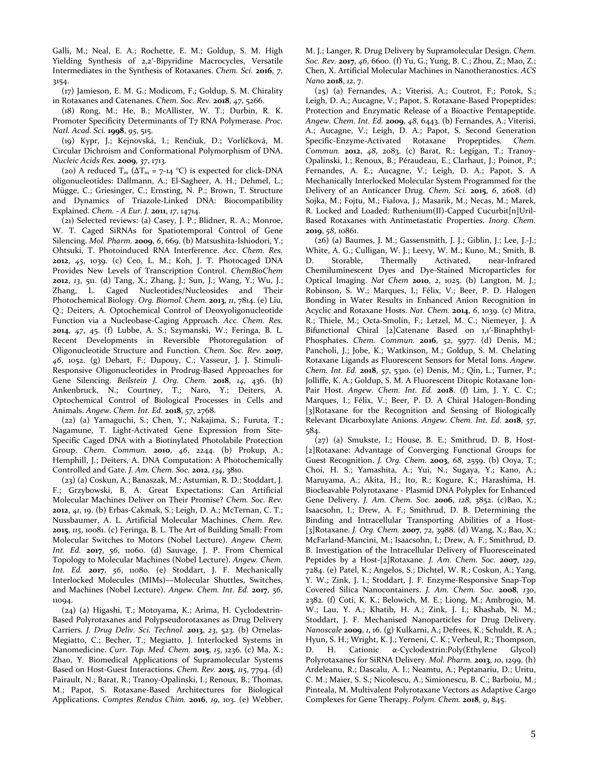Galli, M.; Neal, E. A.; Rochette, E. M.; Goldup, S. M. High Yielding Synthesis of 2,2′-Bipyridine Macrocycles, Versatile Intermediates in the Synthesis of Rotaxanes. *Chem. Sci.* **2016**, *7*, 3154.

(17) Jamieson, E. M. G.; Modicom, F.; Goldup, S. M. Chirality in Rotaxanes and Catenanes. *Chem. Soc. Rev.* **2018**, *47*, 5266.

(18) Rong, M.; He, B.; McAllister, W. T.; Durbin, R. K. Promoter Specificity Determinants of T7 RNA Polymerase. *Proc. Natl. Acad. Sci.* **1998**, *95*, 515.

(19) Kypr, J.; Kejnovská, I.; Renčiuk, D.; Vorlíčková, M. Circular Dichroism and Conformational Polymorphism of DNA. *Nucleic Acids Res.* **2009**, *37*, 1713.

<span id="page-4-0"></span>(20) A reduced  $T_m$  ( $\Delta T_m$  = 7-14 °C) is expected for click-DNA oligonucleotides: Dallmann, A.; El-Sagheer, A. H.; Dehmel, L.; Mügge, C.; Griesinger, C.; Ernsting, N. P.; Brown, T. Structure and Dynamics of Triazole-Linked DNA: Biocompatibility Explained. *Chem. - A Eur. J.* **2011**, *17*, 14714.

<span id="page-4-2"></span><span id="page-4-1"></span>(21) Selected reviews: (a) Casey, J. P.; Blidner, R. A.; Monroe, W. T. Caged SiRNAs for Spatiotemporal Control of Gene Silencing. *Mol. Pharm.* **2009**, *6*, 669. (b) Matsushita-Ishiodori, Y.; Ohtsuki, T. Photoinduced RNA Interference. *Acc. Chem. Res.* **2012**, *45*, 1039. (c) Ceo, L. M.; Koh, J. T. Photocaged DNA Provides New Levels of Transcription Control. *ChemBioChem* **2012**, *13*, 511. (d) Tang, X.; Zhang, J.; Sun, J.; Wang, Y.; Wu, J.; Zhang, L. Caged Nucleotides/Nucleosides and Their Photochemical Biology. *Org. Biomol. Chem.* **2013**, *11*, 7814. (e) Liu, Q.; Deiters, A. Optochemical Control of Deoxyoligonucleotide Function via a Nucleobase-Caging Approach. *Acc. Chem. Res.* **2014**, *47*, 45. (f) Lubbe, A. S.; Szymanski, W.; Feringa, B. L. Recent Developments in Reversible Photoregulation of Oligonucleotide Structure and Function. *Chem. Soc. Rev.* **2017**, *46*, 1052. (g) Debart, F.; Dupouy, C.; Vasseur, J. J. Stimuli-Responsive Oligonucleotides in Prodrug-Based Approaches for Gene Silencing. *Beilstein J. Org. Chem.* **2018**, *14*, 436. (h) Ankenbruck, N.; Courtney, T.; Naro, Y.; Deiters, A. Optochemical Control of Biological Processes in Cells and Animals. *Angew. Chem. Int. Ed.* **2018**, *57*, 2768.

<span id="page-4-3"></span>(22) (a) Yamaguchi, S.; Chen, Y.; Nakajima, S.; Furuta, T.; Nagamune, T. Light-Activated Gene Expression from Site-Specific Caged DNA with a Biotinylated Photolabile Protection Group. *Chem. Commun.* **2010**, *46*, 2244. (b) Prokup, A.; Hemphill, J.; Deiters, A. DNA Computation: A Photochemically Controlled and Gate. *J. Am. Chem. Soc.* **2012**, *134*, 3810.

<span id="page-4-4"></span>(23) (a) Coskun, A.; Banaszak, M.; Astumian, R. D.; Stoddart, J. F.; Grzybowski, B. A. Great Expectations: Can Artificial Molecular Machines Deliver on Their Promise? *Chem. Soc. Rev.* **2012**, *41*, 19. (b) Erbas-Cakmak, S.; Leigh, D. A.; McTernan, C. T.; Nussbaumer, A. L. Artificial Molecular Machines. *Chem. Rev.* **2015**, *115*, 10081. (c) Feringa, B. L. The Art of Building Small: From Molecular Switches to Motors (Nobel Lecture). *Angew. Chem. Int. Ed.* **2017**, *56*, 11060. (d) Sauvage, J. P. From Chemical Topology to Molecular Machines (Nobel Lecture). *Angew. Chem. Int. Ed.* **2017**, *56*, 11080. (e) Stoddart, J. F. Mechanically Interlocked Molecules (MIMs)—Molecular Shuttles, Switches, and Machines (Nobel Lecture). *Angew. Chem. Int. Ed.* **2017**, *56*, 11094.

<span id="page-4-6"></span><span id="page-4-5"></span>(24) (a) Higashi, T.; Motoyama, K.; Arima, H. Cyclodextrin-Based Polyrotaxanes and Polypseudorotaxanes as Drug Delivery Carriers. *J. Drug Deliv. Sci. Technol.* **2013**, *23*, 523. (b) Ornelas-Megiatto, C.; Becher, T.; Megiatto, J. Interlocked Systems in Nanomedicine. *Curr. Top. Med. Chem.* **2015**, *15*, 1236. (c) Ma, X.; Zhao, Y. Biomedical Applications of Supramolecular Systems Based on Host-Guest Interactions. *Chem. Rev.* **2015**, *115*, 7794. (d) Pairault, N.; Barat, R.; Tranoy-Opalinski, I.; Renoux, B.; Thomas, M.; Papot, S. Rotaxane-Based Architectures for Biological Applications. *Comptes Rendus Chim.* **2016**, *19*, 103. (e) Webber, M. J.; Langer, R. Drug Delivery by Supramolecular Design. *Chem. Soc. Rev.* **2017**, *46*, 6600. (f) Yu, G.; Yung, B. C.; Zhou, Z.; Mao, Z.; Chen, X. Artificial Molecular Machines in Nanotheranostics. *ACS Nano* **2018**, *12*, 7.

(25) (a) Fernandes, A.; Viterisi, A.; Coutrot, F.; Potok, S.; Leigh, D. A.; Aucagne, V.; Papot, S. Rotaxane-Based Propeptides: Protection and Enzymatic Release of a Bioactive Pentapeptide. *Angew. Chem. Int. Ed.* **2009**, *48*, 6443. (b) Fernandes, A.; Viterisi, A.; Aucagne, V.; Leigh, D. A.; Papot, S. Second Generation Specific-Enzyme-Activated Rotaxane Propeptides. *Chem. Commun.* **2012**, *48*, 2083. (c) Barat, R.; Legigan, T.; Tranoy-Opalinski, I.; Renoux, B.; Péraudeau, E.; Clarhaut, J.; Poinot, P.; Fernandes, A. E.; Aucagne, V.; Leigh, D. A.; Papot, S. A Mechanically Interlocked Molecular System Programmed for the Delivery of an Anticancer Drug. *Chem. Sci.* **2015**, *6*, 2608. (d) Sojka, M.; Fojtu, M.; Fialova, J.; Masarik, M.; Necas, M.; Marek, R. Locked and Loaded: Ruthenium(II)-Capped Cucurbit[n]Uril-Based Rotaxanes with Antimetastatic Properties. *Inorg. Chem.* **2019**, *58*, 10861.

(26) (a) Baumes, J. M.; Gassensmith, J. J.; Giblin, J.; Lee, J.-J.; White, A. G.; Culligan, W. J.; Leevy, W. M.; Kuno, M.; Smith, B. D. Storable, Thermally Activated, near-Infrared Chemiluminescent Dyes and Dye-Stained Microparticles for Optical Imaging. *Nat Chem* **2010**, *2*, 1025. (b) Langton, M. J.; Robinson, S. W.; Marques, I.; Félix, V.; Beer, P. D. Halogen Bonding in Water Results in Enhanced Anion Recognition in Acyclic and Rotaxane Hosts. *Nat. Chem.* **2014**, *6*, 1039. (c) Mitra, R.; Thiele, M.; Octa-Smolin, F.; Letzel, M. C.; Niemeyer, J. A Bifunctional Chiral [2]Catenane Based on 1,1'-Binaphthyl-Phosphates. *Chem. Commun.* **2016**, *52*, 5977. (d) Denis, M.; Pancholi, J.; Jobe, K.; Watkinson, M.; Goldup, S. M. Chelating Rotaxane Ligands as Fluorescent Sensors for Metal Ions. *Angew. Chem. Int. Ed.* **2018**, *57*, 5310. (e) Denis, M.; Qin, L.; Turner, P.; Jolliffe, K. A.; Goldup, S. M. A Fluorescent Ditopic Rotaxane Ion-Pair Host. *Angew. Chem. Int. Ed.* **2018**. (f) Lim, J. Y. C. C.; Marques, I.; Félix, V.; Beer, P. D. A Chiral Halogen-Bonding [3]Rotaxane for the Recognition and Sensing of Biologically Relevant Dicarboxylate Anions. *Angew. Chem. Int. Ed.* **2018**, *57*, 584.

(27) (a) Smukste, I.; House, B. E.; Smithrud, D. B. Host- [2]Rotaxane: Advantage of Converging Functional Groups for Guest Recognition. *J. Org. Chem.* **2003**, *68*, 2559. (b) Ooya, T.; Choi, H. S.; Yamashita, A.; Yui, N.; Sugaya, Y.; Kano, A.; Maruyama, A.; Akita, H.; Ito, R.; Kogure, K.; Harashima, H. Biocleavable Polyrotaxane - Plasmid DNA Polyplex for Enhanced Gene Delivery. *J. Am. Chem. Soc.* **2006**, *128*, 3852. (c)Bao, X.; Isaacsohn, I.; Drew, A. F.; Smithrud, D. B. Determining the Binding and Intracellular Transporting Abilities of a Host- [3]Rotaxane. *J. Org. Chem.* **2007**, *72*, 3988. (d) Wang, X.; Bao, X.; McFarland-Mancini, M.; Isaacsohn, I.; Drew, A. F.; Smithrud, D. B. Investigation of the Intracellular Delivery of Fluoresceinated Peptides by a Host-[2]Rotaxane. *J. Am. Chem. Soc.* **2007**, *129*, 7284. (e) Patel, K.; Angelos, S.; Dichtel, W. R.; Coskun, A.; Yang, Y. W.; Zink, J. I.; Stoddart, J. F. Enzyme-Responsive Snap-Top Covered Silica Nanocontainers. *J. Am. Chem. Soc.* **2008**, *130*, 2382. (f) Cotí, K. K.; Belowich, M. E.; Liong, M.; Ambrogio, M. W.; Lau, Y. A.; Khatib, H. A.; Zink, J. I.; Khashab, N. M.; Stoddart, J. F. Mechanised Nanoparticles for Drug Delivery. *Nanoscale* **2009**, *1*, 16. (g) Kulkarni, A.; Defrees, K.; Schuldt, R. A.; Hyun, S. H.; Wright, K. J.; Yerneni, C. K.; Verheul, R.; Thompson, D. H. Cationic α-Cyclodextrin:Poly(Ethylene Glycol) Polyrotaxanes for SiRNA Delivery. *Mol. Pharm.* **2013**, *10*, 1299. (h) Ardeleanu, R.; Dascalu, A. I.; Neamtu, A.; Peptanariu, D.; Uritu, C. M.; Maier, S. S.; Nicolescu, A.; Simionescu, B. C.; Barboiu, M.; Pinteala, M. Multivalent Polyrotaxane Vectors as Adaptive Cargo Complexes for Gene Therapy. *Polym. Chem.* **2018**, *9*, 845.